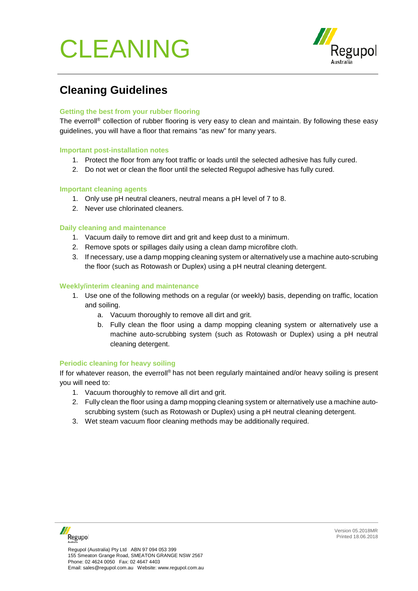# CLEANING



# **Cleaning Guidelines**

#### **Getting the best from your rubber flooring**

The everroll<sup>®</sup> collection of rubber flooring is very easy to clean and maintain. By following these easy guidelines, you will have a floor that remains "as new" for many years.

#### **Important post-installation notes**

- 1. Protect the floor from any foot traffic or loads until the selected adhesive has fully cured.
- 2. Do not wet or clean the floor until the selected Regupol adhesive has fully cured.

#### **Important cleaning agents**

- 1. Only use pH neutral cleaners, neutral means a pH level of 7 to 8.
- 2. Never use chlorinated cleaners.

#### **Daily cleaning and maintenance**

- 1. Vacuum daily to remove dirt and grit and keep dust to a minimum.
- 2. Remove spots or spillages daily using a clean damp microfibre cloth.
- 3. If necessary, use a damp mopping cleaning system or alternatively use a machine auto-scrubing the floor (such as Rotowash or Duplex) using a pH neutral cleaning detergent.

#### **Weekly/interim cleaning and maintenance**

- 1. Use one of the following methods on a regular (or weekly) basis, depending on traffic, location and soiling.
	- a. Vacuum thoroughly to remove all dirt and grit.
	- b. Fully clean the floor using a damp mopping cleaning system or alternatively use a machine auto-scrubbing system (such as Rotowash or Duplex) using a pH neutral cleaning detergent.

#### **Periodic cleaning for heavy soiling**

If for whatever reason, the everroll<sup>®</sup> has not been regularly maintained and/or heavy soiling is present you will need to:

- 1. Vacuum thoroughly to remove all dirt and grit.
- 2. Fully clean the floor using a damp mopping cleaning system or alternatively use a machine autoscrubbing system (such as Rotowash or Duplex) using a pH neutral cleaning detergent.
- 3. Wet steam vacuum floor cleaning methods may be additionally required.

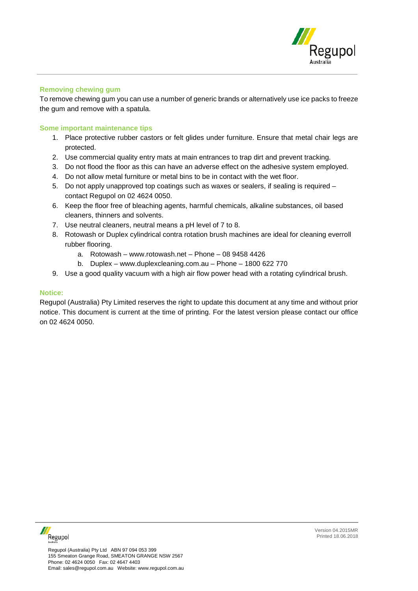

#### **Removing chewing gum**

To remove chewing gum you can use a number of generic brands or alternatively use ice packs to freeze the gum and remove with a spatula.

#### **Some important maintenance tips**

- 1. Place protective rubber castors or felt glides under furniture. Ensure that metal chair legs are protected.
- 2. Use commercial quality entry mats at main entrances to trap dirt and prevent tracking.
- 3. Do not flood the floor as this can have an adverse effect on the adhesive system employed.
- 4. Do not allow metal furniture or metal bins to be in contact with the wet floor.
- 5. Do not apply unapproved top coatings such as waxes or sealers, if sealing is required contact Regupol on 02 4624 0050.
- 6. Keep the floor free of bleaching agents, harmful chemicals, alkaline substances, oil based cleaners, thinners and solvents.
- 7. Use neutral cleaners, neutral means a pH level of 7 to 8.
- 8. Rotowash or Duplex cylindrical contra rotation brush machines are ideal for cleaning everroll rubber flooring.
	- a. Rotowash www.rotowash.net Phone 08 9458 4426
	- b. Duplex www.duplexcleaning.com.au Phone 1800 622 770
- 9. Use a good quality vacuum with a high air flow power head with a rotating cylindrical brush.

#### **Notice:**

Regupol (Australia) Pty Limited reserves the right to update this document at any time and without prior notice. This document is current at the time of printing. For the latest version please contact our office on 02 4624 0050.